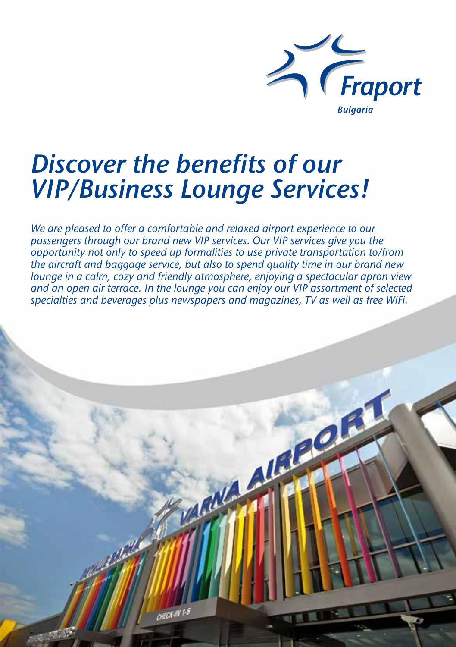

# *Discover the benefits of our VIP/Business Lounge Services!*

*We are pleased to offer a comfortable and relaxed airport experience to our passengers through our brand new VIP services. Our VIP services give you the opportunity not only to speed up formalities to use private transportation to/from the aircraft and baggage service, but also to spend quality time in our brand new lounge in a calm, cozy and friendly atmosphere, enjoying a spectacular apron view and an open air terrace. In the lounge you can enjoy our VIP assortment of selected specialties and beverages plus newspapers and magazines, TV as well as free WiFi.*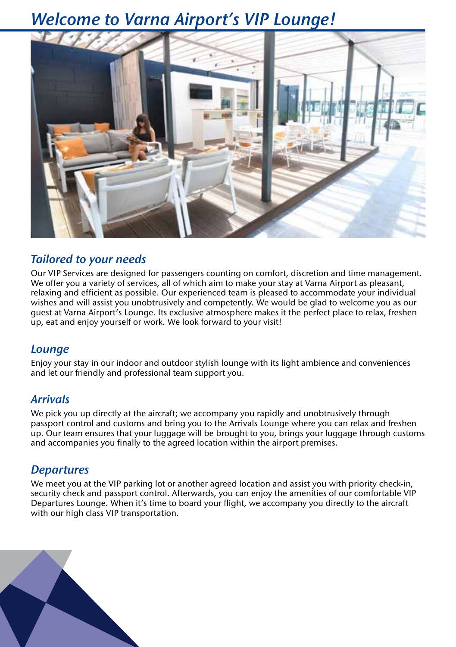### *Welcome to Varna Airport's VIP Lounge!*



### *Tailored to your needs*

Our VIP Services are designed for passengers counting on comfort, discretion and time management. We offer you a variety of services, all of which aim to make your stay at Varna Airport as pleasant, relaxing and efficient as possible. Our experienced team is pleased to accommodate your individual wishes and will assist you unobtrusively and competently. We would be glad to welcome you as our guest at Varna Airport's Lounge. Its exclusive atmosphere makes it the perfect place to relax, freshen up, eat and enjoy yourself or work. We look forward to your visit!

### *Lounge*

Enjoy your stay in our indoor and outdoor stylish lounge with its light ambience and conveniences and let our friendly and professional team support you.

### *Arrivals*

We pick you up directly at the aircraft; we accompany you rapidly and unobtrusively through passport control and customs and bring you to the Arrivals Lounge where you can relax and freshen up. Our team ensures that your luggage will be brought to you, brings your luggage through customs and accompanies you finally to the agreed location within the airport premises.

### *Departures*

We meet you at the VIP parking lot or another agreed location and assist you with priority check-in, security check and passport control. Afterwards, you can enjoy the amenities of our comfortable VIP Departures Lounge. When it's time to board your flight, we accompany you directly to the aircraft with our high class VIP transportation.

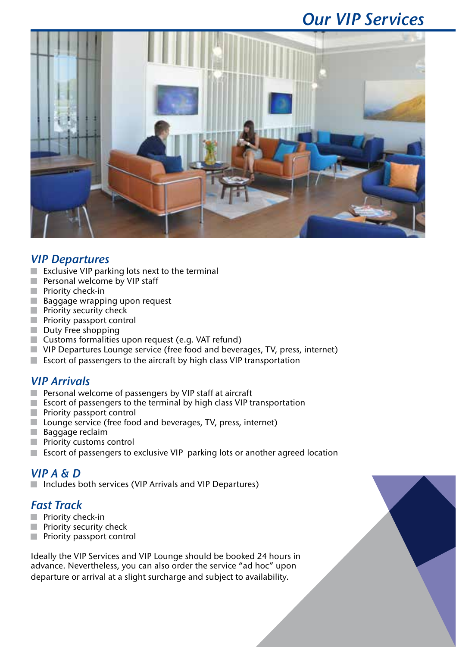### *Our VIP Services*



### *VIP Departures*

- $\blacksquare$  Exclusive VIP parking lots next to the terminal
- Personal welcome by VIP staff
- **Priority check-in**
- **Baggage wrapping upon request**
- **Priority security check**
- **Priority passport control**
- Duty Free shopping
- Customs formalities upon request (e.g. VAT refund)
- VIP Departures Lounge service (free food and beverages, TV, press, internet)
- $\blacksquare$  Escort of passengers to the aircraft by high class VIP transportation

### *VIP Arrivals*

- **Personal welcome of passengers by VIP staff at aircraft**
- **Excort of passengers to the terminal by high class VIP transportation**
- **Priority passport control**
- **Lounge** service (free food and beverages, TV, press, internet)
- **Baggage reclaim**
- **Priority customs control**
- Escort of passengers to exclusive VIP parking lots or another agreed location

# *VIP A & D*

Includes both services (VIP Arrivals and VIP Departures)

### *Fast Track*

- **Priority check-in**
- **Priority security check**
- **Priority passport control**

Ideally the VIP Services and VIP Lounge should be booked 24 hours in advance. Nevertheless, you can also order the service "ad hoc" upon departure or arrival at a slight surcharge and subject to availability.